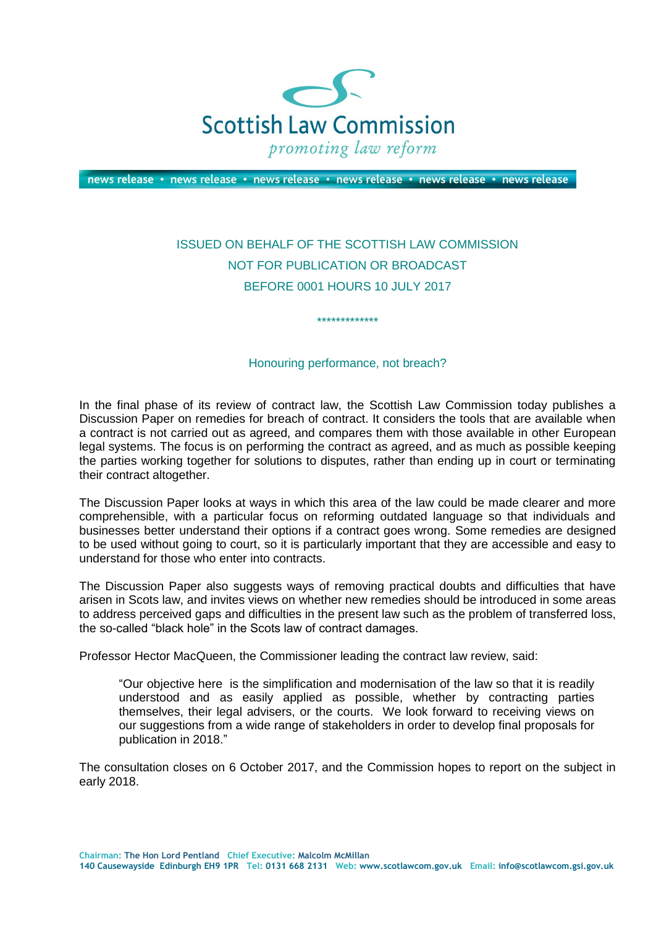

news release • news release • news release • news release • news release • news release

## ISSUED ON BEHALF OF THE SCOTTISH LAW COMMISSION NOT FOR PUBLICATION OR BROADCAST BEFORE 0001 HOURS 10 JULY 2017

## Honouring performance, not breach?

\*\*\*\*\*\*\*\*\*\*\*\*\*

In the final phase of its review of contract law, the Scottish Law Commission today publishes a Discussion Paper on remedies for breach of contract. It considers the tools that are available when a contract is not carried out as agreed, and compares them with those available in other European legal systems. The focus is on performing the contract as agreed, and as much as possible keeping the parties working together for solutions to disputes, rather than ending up in court or terminating their contract altogether.

The Discussion Paper looks at ways in which this area of the law could be made clearer and more comprehensible, with a particular focus on reforming outdated language so that individuals and businesses better understand their options if a contract goes wrong. Some remedies are designed to be used without going to court, so it is particularly important that they are accessible and easy to understand for those who enter into contracts.

The Discussion Paper also suggests ways of removing practical doubts and difficulties that have arisen in Scots law, and invites views on whether new remedies should be introduced in some areas to address perceived gaps and difficulties in the present law such as the problem of transferred loss, the so-called "black hole" in the Scots law of contract damages.

Professor Hector MacQueen, the Commissioner leading the contract law review, said:

"Our objective here is the simplification and modernisation of the law so that it is readily understood and as easily applied as possible, whether by contracting parties themselves, their legal advisers, or the courts. We look forward to receiving views on our suggestions from a wide range of stakeholders in order to develop final proposals for publication in 2018."

The consultation closes on 6 October 2017, and the Commission hopes to report on the subject in early 2018.

**Chairman: The Hon Lord Pentland Chief Executive: Malcolm McMillan**

**140 Causewayside Edinburgh EH9 1PR Tel: 0131 668 2131 Web: www.scotlawcom.gov.uk Email: info@scotlawcom.gsi.gov.uk**